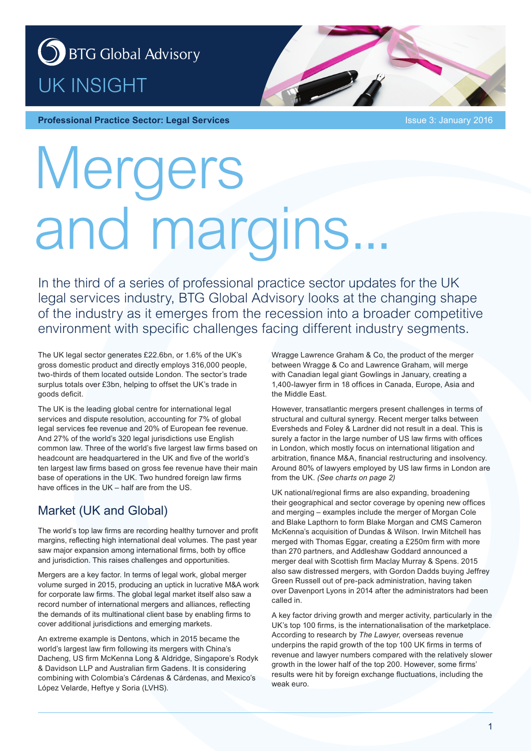## S BTG Global Advisory UK INSIGHT



**Professional Practice Sector: Legal Services Integral 2016 ISSUE 3: January 2016** 

# Mergers and margins.

In the third of a series of professional practice sector updates for the UK legal services industry, BTG Global Advisory looks at the changing shape of the industry as it emerges from the recession into a broader competitive environment with specific challenges facing different industry segments.

The UK legal sector generates £22.6bn, or 1.6% of the UK's gross domestic product and directly employs 316,000 people, two-thirds of them located outside London. The sector's trade surplus totals over £3bn, helping to offset the UK's trade in goods deficit.

The UK is the leading global centre for international legal services and dispute resolution, accounting for 7% of global legal services fee revenue and 20% of European fee revenue. And 27% of the world's 320 legal jurisdictions use English common law. Three of the world's five largest law firms based on headcount are headquartered in the UK and five of the world's ten largest law firms based on gross fee revenue have their main base of operations in the UK. Two hundred foreign law firms have offices in the UK – half are from the US.

## Market (UK and Global)

The world's top law firms are recording healthy turnover and profit margins, reflecting high international deal volumes. The past year saw major expansion among international firms, both by office and jurisdiction. This raises challenges and opportunities.

Mergers are a key factor. In terms of legal work, global merger volume surged in 2015, producing an uptick in lucrative M&A work for corporate law firms. The global legal market itself also saw a record number of international mergers and alliances, reflecting the demands of its multinational client base by enabling firms to cover additional jurisdictions and emerging markets.

An extreme example is Dentons, which in 2015 became the world's largest law firm following its mergers with China's Dacheng, US firm McKenna Long & Aldridge, Singapore's Rodyk & Davidson LLP and Australian firm Gadens. It is considering combining with Colombia's Cárdenas & Cárdenas, and Mexico's López Velarde, Heftye y Soria (LVHS).

Wragge Lawrence Graham & Co, the product of the merger between Wragge & Co and Lawrence Graham, will merge with Canadian legal giant Gowlings in January, creating a 1,400-lawyer firm in 18 offices in Canada, Europe, Asia and the Middle East.

However, transatlantic mergers present challenges in terms of structural and cultural synergy. Recent merger talks between Eversheds and Foley & Lardner did not result in a deal. This is surely a factor in the large number of US law firms with offices in London, which mostly focus on international litigation and arbitration, finance M&A, financial restructuring and insolvency. Around 80% of lawyers employed by US law firms in London are from the UK. *(See charts on page 2)*

UK national/regional firms are also expanding, broadening their geographical and sector coverage by opening new offices and merging – examples include the merger of Morgan Cole and Blake Lapthorn to form Blake Morgan and CMS Cameron McKenna's acquisition of Dundas & Wilson. Irwin Mitchell has merged with Thomas Eggar, creating a £250m firm with more than 270 partners, and Addleshaw Goddard announced a merger deal with Scottish firm Maclay Murray & Spens. 2015 also saw distressed mergers, with Gordon Dadds buying Jeffrey Green Russell out of pre-pack administration, having taken over Davenport Lyons in 2014 after the administrators had been called in.

A key factor driving growth and merger activity, particularly in the UK's top 100 firms, is the internationalisation of the marketplace. According to research by *The Lawyer*, overseas revenue underpins the rapid growth of the top 100 UK firms in terms of revenue and lawyer numbers compared with the relatively slower growth in the lower half of the top 200. However, some firms' results were hit by foreign exchange fluctuations, including the weak euro.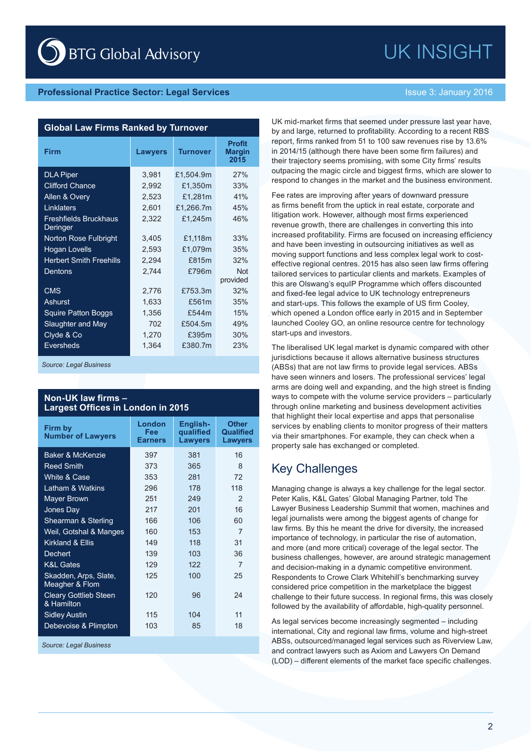## **Professional Practice Sector: Legal Services Intervention of the Issue 3: January 2016**

### **Global Law Firms Ranked by Turnover**

| <b>Firm</b>                                     | <b>Lawyers</b> | <b>Turnover</b> | <b>Profit</b><br><b>Margin</b><br>2015 |
|-------------------------------------------------|----------------|-----------------|----------------------------------------|
| <b>DLA Piper</b>                                | 3,981          | £1,504.9m       | 27%                                    |
| <b>Clifford Chance</b>                          | 2,992          | £1,350m         | 33%                                    |
| Allen & Overy                                   | 2,523          | £1,281m         | 41%                                    |
| Linklaters                                      | 2,601          | £1,266.7m       | 45%                                    |
| <b>Freshfields Bruckhaus</b><br><b>Deringer</b> | 2,322          | £1,245m         | 46%                                    |
| <b>Norton Rose Fulbright</b>                    | 3,405          | £1,118m         | 33%                                    |
| <b>Hogan Lovells</b>                            | 2,593          | £1,079m         | 35%                                    |
| <b>Herbert Smith Freehills</b>                  | 2,294          | £815m           | 32%                                    |
| Dentons                                         | 2,744          | £796m           | <b>Not</b><br>provided                 |
| <b>CMS</b>                                      | 2,776          | £753.3m         | 32%                                    |
| Ashurst                                         | 1,633          | £561m           | 35%                                    |
| <b>Squire Patton Boggs</b>                      | 1,356          | £544m           | 15%                                    |
| Slaughter and May                               | 702            | £504.5m         | 49%                                    |
| Clyde & Co                                      | 1,270          | £395m           | 30%                                    |
| <b>Eversheds</b>                                | 1,364          | £380.7m         | 23%                                    |

*Source: Legal Business*

### **Non-UK law firms – Largest Offices in London in 2015**

| Firm by<br><b>Number of Lawyers</b>        | London<br>Fee<br><b>Earners</b> | English-<br>qualified<br><b>Lawyers</b> | <b>Other</b><br>Qualified<br><b>Lawyers</b> |
|--------------------------------------------|---------------------------------|-----------------------------------------|---------------------------------------------|
| <b>Baker &amp; McKenzie</b>                | 397                             | 381                                     | 16                                          |
| <b>Reed Smith</b>                          | 373                             | 365                                     | 8                                           |
| White & Case                               | 353                             | 281                                     | 72                                          |
| Latham & Watkins                           | 296                             | 178                                     | 118                                         |
| <b>Mayer Brown</b>                         | 251                             | 249                                     | 2                                           |
| Jones Day                                  | 217                             | 201                                     | 16                                          |
| Shearman & Sterling                        | 166                             | 106                                     | 60                                          |
| Weil, Gotshal & Manges                     | 160                             | 153                                     | 7                                           |
| Kirkland & Ellis                           | 149                             | 118                                     | 31                                          |
| Dechert                                    | 139                             | 103                                     | 36                                          |
| <b>K&amp;L Gates</b>                       | 129                             | 122                                     | 7                                           |
| Skadden, Arps, Slate,<br>Meagher & Flom    | 125                             | 100                                     | 25                                          |
| <b>Cleary Gottlieb Steen</b><br>& Hamilton | 120                             | 96                                      | 24                                          |
| <b>Sidley Austin</b>                       | 115                             | 104                                     | 11                                          |
| Debevoise & Plimpton                       | 103                             | 85                                      | 18                                          |

*Source: Legal Business*

UK INSIGHT

UK mid-market firms that seemed under pressure last year have, by and large, returned to profitability. According to a recent RBS report, firms ranked from 51 to 100 saw revenues rise by 13.6% in 2014/15 (although there have been some firm failures) and their trajectory seems promising, with some City firms' results outpacing the magic circle and biggest firms, which are slower to respond to changes in the market and the business environment.

Fee rates are improving after years of downward pressure as firms benefit from the uptick in real estate, corporate and litigation work. However, although most firms experienced revenue growth, there are challenges in converting this into increased profitability. Firms are focused on increasing efficiency and have been investing in outsourcing initiatives as well as moving support functions and less complex legal work to costeffective regional centres. 2015 has also seen law firms offering tailored services to particular clients and markets. Examples of this are Olswang's equIP Programme which offers discounted and fixed-fee legal advice to UK technology entrepreneurs and start-ups. This follows the example of US firm Cooley, which opened a London office early in 2015 and in September launched Cooley GO, an online resource centre for technology start-ups and investors.

The liberalised UK legal market is dynamic compared with other jurisdictions because it allows alternative business structures (ABSs) that are not law firms to provide legal services. ABSs have seen winners and losers. The professional services' legal arms are doing well and expanding, and the high street is finding ways to compete with the volume service providers – particularly through online marketing and business development activities that highlight their local expertise and apps that personalise services by enabling clients to monitor progress of their matters via their smartphones. For example, they can check when a property sale has exchanged or completed.

## Key Challenges

Managing change is always a key challenge for the legal sector. Peter Kalis, K&L Gates' Global Managing Partner, told The Lawyer Business Leadership Summit that women, machines and legal journalists were among the biggest agents of change for law firms. By this he meant the drive for diversity, the increased importance of technology, in particular the rise of automation, and more (and more critical) coverage of the legal sector. The business challenges, however, are around strategic management and decision-making in a dynamic competitive environment. Respondents to Crowe Clark Whitehill's benchmarking survey considered price competition in the marketplace the biggest challenge to their future success. In regional firms, this was closely followed by the availability of affordable, high-quality personnel.

As legal services become increasingly segmented – including international, City and regional law firms, volume and high-street ABSs, outsourced/managed legal services such as Riverview Law, and contract lawyers such as Axiom and Lawyers On Demand (LOD) – different elements of the market face specific challenges.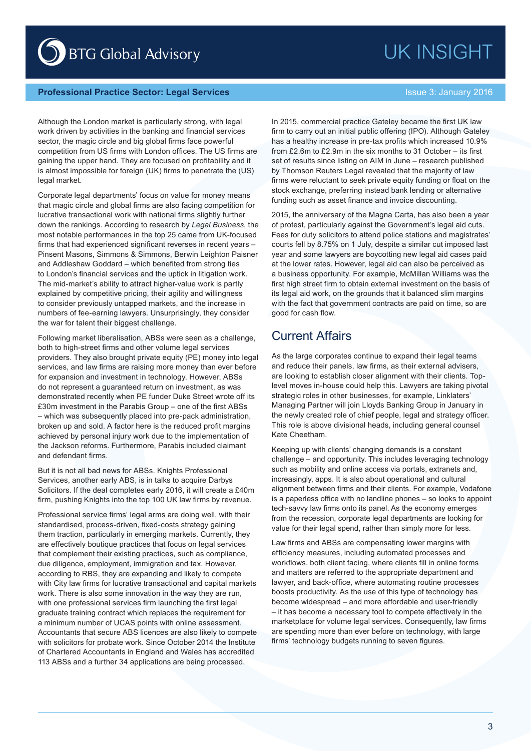## UK INSIGHT

BTG Global Advisory

## **Professional Practice Sector: Legal Services Intervention of the Issue 3: January 2016**

Although the London market is particularly strong, with legal work driven by activities in the banking and financial services sector, the magic circle and big global firms face powerful competition from US firms with London offices. The US firms are gaining the upper hand. They are focused on profitability and it is almost impossible for foreign (UK) firms to penetrate the (US) legal market.

Corporate legal departments' focus on value for money means that magic circle and global firms are also facing competition for lucrative transactional work with national firms slightly further down the rankings. According to research by *Legal Business*, the most notable performances in the top 25 came from UK-focused firms that had experienced significant reverses in recent years – Pinsent Masons, Simmons & Simmons, Berwin Leighton Paisner and Addleshaw Goddard – which benefited from strong ties to London's financial services and the uptick in litigation work. The mid-market's ability to attract higher-value work is partly explained by competitive pricing, their agility and willingness to consider previously untapped markets, and the increase in numbers of fee-earning lawyers. Unsurprisingly, they consider the war for talent their biggest challenge.

Following market liberalisation, ABSs were seen as a challenge, both to high-street firms and other volume legal services providers. They also brought private equity (PE) money into legal services, and law firms are raising more money than ever before for expansion and investment in technology. However, ABSs do not represent a guaranteed return on investment, as was demonstrated recently when PE funder Duke Street wrote off its £30m investment in the Parabis Group – one of the first ABSs – which was subsequently placed into pre-pack administration, broken up and sold. A factor here is the reduced profit margins achieved by personal injury work due to the implementation of the Jackson reforms. Furthermore, Parabis included claimant and defendant firms.

But it is not all bad news for ABSs. Knights Professional Services, another early ABS, is in talks to acquire Darbys Solicitors. If the deal completes early 2016, it will create a £40m firm, pushing Knights into the top 100 UK law firms by revenue.

Professional service firms' legal arms are doing well, with their standardised, process-driven, fixed-costs strategy gaining them traction, particularly in emerging markets. Currently, they are effectively boutique practices that focus on legal services that complement their existing practices, such as compliance, due diligence, employment, immigration and tax. However, according to RBS, they are expanding and likely to compete with City law firms for lucrative transactional and capital markets work. There is also some innovation in the way they are run, with one professional services firm launching the first legal graduate training contract which replaces the requirement for a minimum number of UCAS points with online assessment. Accountants that secure ABS licences are also likely to compete with solicitors for probate work. Since October 2014 the Institute of Chartered Accountants in England and Wales has accredited 113 ABSs and a further 34 applications are being processed.

In 2015, commercial practice Gateley became the first UK law firm to carry out an initial public offering (IPO). Although Gateley has a healthy increase in pre-tax profits which increased 10.9% from £2.6m to £2.9m in the six months to 31 October – its first set of results since listing on AIM in June – research published by Thomson Reuters Legal revealed that the majority of law firms were reluctant to seek private equity funding or float on the stock exchange, preferring instead bank lending or alternative funding such as asset finance and invoice discounting.

2015, the anniversary of the Magna Carta, has also been a year of protest, particularly against the Government's legal aid cuts. Fees for duty solicitors to attend police stations and magistrates' courts fell by 8.75% on 1 July, despite a similar cut imposed last year and some lawyers are boycotting new legal aid cases paid at the lower rates. However, legal aid can also be perceived as a business opportunity. For example, McMillan Williams was the first high street firm to obtain external investment on the basis of its legal aid work, on the grounds that it balanced slim margins with the fact that government contracts are paid on time, so are good for cash flow.

## Current Affairs

As the large corporates continue to expand their legal teams and reduce their panels, law firms, as their external advisers, are looking to establish closer alignment with their clients. Toplevel moves in-house could help this. Lawyers are taking pivotal strategic roles in other businesses, for example, Linklaters' Managing Partner will join Lloyds Banking Group in January in the newly created role of chief people, legal and strategy officer. This role is above divisional heads, including general counsel Kate Cheetham.

Keeping up with clients' changing demands is a constant challenge – and opportunity. This includes leveraging technology such as mobility and online access via portals, extranets and, increasingly, apps. It is also about operational and cultural alignment between firms and their clients. For example, Vodafone is a paperless office with no landline phones – so looks to appoint tech-savvy law firms onto its panel. As the economy emerges from the recession, corporate legal departments are looking for value for their legal spend, rather than simply more for less.

Law firms and ABSs are compensating lower margins with efficiency measures, including automated processes and workflows, both client facing, where clients fill in online forms and matters are referred to the appropriate department and lawyer, and back-office, where automating routine processes boosts productivity. As the use of this type of technology has become widespread – and more affordable and user-friendly – it has become a necessary tool to compete effectively in the marketplace for volume legal services. Consequently, law firms are spending more than ever before on technology, with large firms' technology budgets running to seven figures.